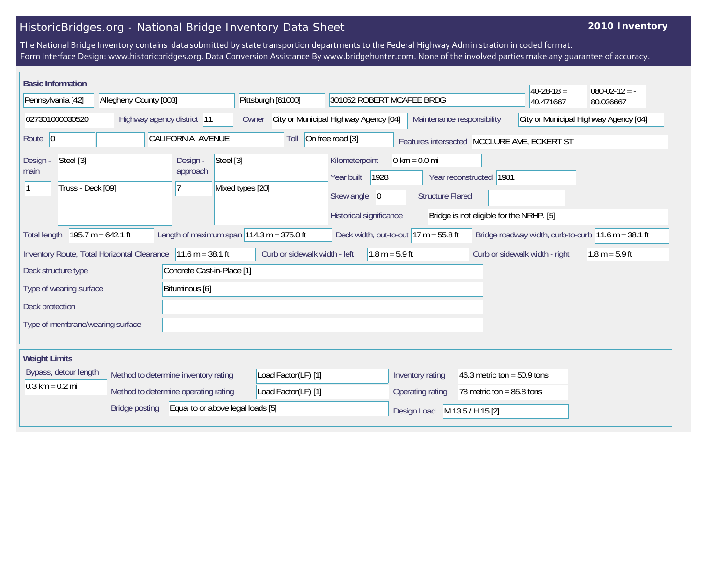## HistoricBridges.org - National Bridge Inventory Data Sheet

## **2010 Inventory**

The National Bridge Inventory contains data submitted by state transportion departments to the Federal Highway Administration in coded format. Form Interface Design: www.historicbridges.org. Data Conversion Assistance By www.bridgehunter.com. None of the involved parties make any guarantee of accuracy.

| <b>Basic Information</b>                           |                                                                                                                                                                              |                                                                              |                     |                                                           |                                                            |                                          | $40 - 28 - 18 =$                            | $080-02-12 = -$                                       |
|----------------------------------------------------|------------------------------------------------------------------------------------------------------------------------------------------------------------------------------|------------------------------------------------------------------------------|---------------------|-----------------------------------------------------------|------------------------------------------------------------|------------------------------------------|---------------------------------------------|-------------------------------------------------------|
| Pennsylvania [42]                                  | Allegheny County [003]                                                                                                                                                       |                                                                              | Pittsburgh [61000]  | 301052 ROBERT MCAFEE BRDG                                 |                                                            |                                          | 40.471667                                   | 80.036667                                             |
| 027301000030520<br>Highway agency district 11      |                                                                                                                                                                              | City or Municipal Highway Agency [04]<br>Maintenance responsibility<br>Owner |                     |                                                           | City or Municipal Highway Agency [04]                      |                                          |                                             |                                                       |
| Route $ 0$                                         |                                                                                                                                                                              | <b>CALIFORNIA AVENUE</b>                                                     | Toll                | On free road [3]                                          |                                                            |                                          | Features intersected MCCLURE AVE, ECKERT ST |                                                       |
| Steel [3]<br>Design -<br>main<br>Truss - Deck [09] |                                                                                                                                                                              | Steel [3]<br>Design -<br>approach                                            | Mixed types [20]    | Kilometerpoint<br>1928<br>Year built<br> 0 <br>Skew angle | $0 \text{ km} = 0.0 \text{ mi}$<br><b>Structure Flared</b> | Year reconstructed 1981                  |                                             |                                                       |
|                                                    |                                                                                                                                                                              |                                                                              |                     | Historical significance                                   |                                                            | Bridge is not eligible for the NRHP. [5] |                                             |                                                       |
| <b>Total length</b>                                | $195.7 m = 642.1 ft$                                                                                                                                                         | Length of maximum span $ 114.3 \text{ m} = 375.0 \text{ ft} $                |                     | Deck width, out-to-out $17 m = 55.8 ft$                   |                                                            |                                          |                                             | Bridge roadway width, curb-to-curb   11.6 m = 38.1 ft |
|                                                    | $11.6 m = 38.1 ft$<br>Curb or sidewalk width - left<br>$1.8 m = 5.9 ft$<br>Curb or sidewalk width - right<br>$1.8 m = 5.9 ft$<br>Inventory Route, Total Horizontal Clearance |                                                                              |                     |                                                           |                                                            |                                          |                                             |                                                       |
| Deck structure type                                |                                                                                                                                                                              | Concrete Cast-in-Place [1]                                                   |                     |                                                           |                                                            |                                          |                                             |                                                       |
| Type of wearing surface                            |                                                                                                                                                                              | Bituminous [6]                                                               |                     |                                                           |                                                            |                                          |                                             |                                                       |
| Deck protection                                    |                                                                                                                                                                              |                                                                              |                     |                                                           |                                                            |                                          |                                             |                                                       |
| Type of membrane/wearing surface                   |                                                                                                                                                                              |                                                                              |                     |                                                           |                                                            |                                          |                                             |                                                       |
| <b>Weight Limits</b>                               |                                                                                                                                                                              |                                                                              |                     |                                                           |                                                            |                                          |                                             |                                                       |
| Bypass, detour length                              |                                                                                                                                                                              | Method to determine inventory rating                                         | Load Factor(LF) [1] |                                                           | Inventory rating                                           | 46.3 metric ton = $50.9$ tons            |                                             |                                                       |
| $0.3 \text{ km} = 0.2 \text{ mi}$                  |                                                                                                                                                                              | Method to determine operating rating                                         | Load Factor(LF) [1] |                                                           | Operating rating                                           | 78 metric ton = $85.8$ tons              |                                             |                                                       |
|                                                    | <b>Bridge posting</b>                                                                                                                                                        | Equal to or above legal loads [5]                                            |                     |                                                           | Design Load                                                | M 13.5 / H 15 [2]                        |                                             |                                                       |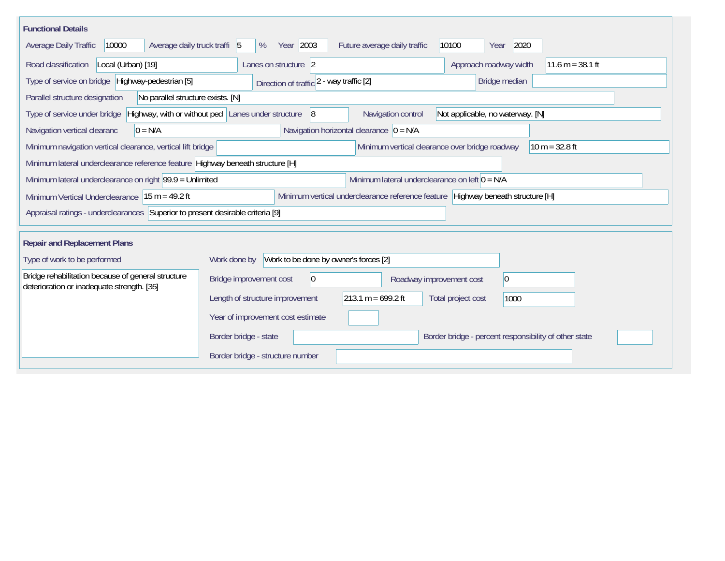| <b>Functional Details</b>                                                                                                                           |                                                       |                                                |                                                       |  |  |  |  |
|-----------------------------------------------------------------------------------------------------------------------------------------------------|-------------------------------------------------------|------------------------------------------------|-------------------------------------------------------|--|--|--|--|
| 10000<br>Average daily truck traffi 5<br>Average Daily Traffic                                                                                      | Year 2003<br>%                                        | Future average daily traffic                   | 10100<br>2020<br>Year                                 |  |  |  |  |
| Road classification<br>Local (Urban) [19]<br>Approach roadway width<br>$11.6 m = 38.1 ft$<br>Lanes on structure 2                                   |                                                       |                                                |                                                       |  |  |  |  |
| Type of service on bridge   Highway-pedestrian [5]<br>Bridge median<br>Direction of traffic 2 - way traffic [2]                                     |                                                       |                                                |                                                       |  |  |  |  |
| No parallel structure exists. [N]<br>Parallel structure designation                                                                                 |                                                       |                                                |                                                       |  |  |  |  |
| Highway, with or without ped Lanes under structure<br> 8 <br>Navigation control<br>Not applicable, no waterway. [N]<br>Type of service under bridge |                                                       |                                                |                                                       |  |  |  |  |
| Navigation horizontal clearance $ 0 = N/A$<br>$0 = N/A$<br>Navigation vertical clearanc                                                             |                                                       |                                                |                                                       |  |  |  |  |
| Minimum navigation vertical clearance, vertical lift bridge                                                                                         |                                                       | Minimum vertical clearance over bridge roadway | $10 m = 32.8 ft$                                      |  |  |  |  |
| Minimum lateral underclearance reference feature Highway beneath structure [H]                                                                      |                                                       |                                                |                                                       |  |  |  |  |
| Minimum lateral underclearance on left $0 = N/A$<br>Minimum lateral underclearance on right $99.9 =$ Unlimited                                      |                                                       |                                                |                                                       |  |  |  |  |
| Minimum vertical underclearance reference feature Highway beneath structure [H]<br>Minimum Vertical Underclearance   15 m = 49.2 ft                 |                                                       |                                                |                                                       |  |  |  |  |
| Appraisal ratings - underclearances Superior to present desirable criteria [9]                                                                      |                                                       |                                                |                                                       |  |  |  |  |
|                                                                                                                                                     |                                                       |                                                |                                                       |  |  |  |  |
| <b>Repair and Replacement Plans</b>                                                                                                                 |                                                       |                                                |                                                       |  |  |  |  |
| Type of work to be performed                                                                                                                        | Work to be done by owner's forces [2]<br>Work done by |                                                |                                                       |  |  |  |  |
| Bridge rehabilitation because of general structure<br>deterioration or inadequate strength. [35]                                                    | $\overline{0}$<br>Bridge improvement cost             | Roadway improvement cost                       | $ 0\rangle$                                           |  |  |  |  |
|                                                                                                                                                     | Length of structure improvement                       | $213.1 m = 699.2 ft$                           | Total project cost<br>1000                            |  |  |  |  |
|                                                                                                                                                     | Year of improvement cost estimate                     |                                                |                                                       |  |  |  |  |
|                                                                                                                                                     | Border bridge - state                                 |                                                | Border bridge - percent responsibility of other state |  |  |  |  |
|                                                                                                                                                     | Border bridge - structure number                      |                                                |                                                       |  |  |  |  |